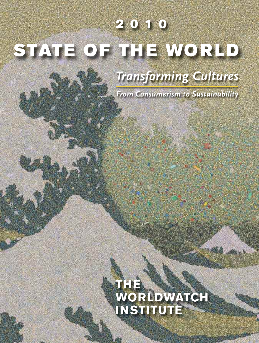# STATE OF THE WORLD 2 0 1 0

*Transforming Cultures*

*From Consumerism to Sustainability*

## **THE WORLDWATCH INSTITUTE**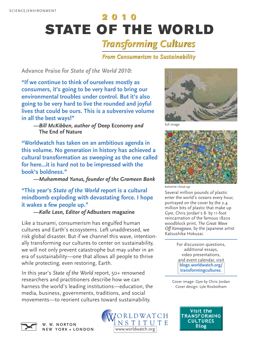## **STATE OF THE WORLD** *Transforming Cultures Transforming Cultures* 2010

*From Consumerism to Sustainability*

**Advance Praise for** *State of the World 2010***:**

**"If we continue to think of ourselves mostly as consumers, it's going to be very hard to bring our environmental troubles under control. But it's also going to be very hard to live the rounded and joyful lives that could be ours. This is a subversive volume in all the best ways!"**

*—Bill McKibben, author of* **Deep Economy** *and* **The End of Nature**

**"Worldwatch has taken on an ambitious agenda in this volume. No generation in history has achieved a cultural transformation as sweeping as the one called for here…it is hard not to be impressed with the book's boldness."**

*—Muhammad Yunus, founder of the Grameen Bank*

**"This year's** *State of the World* **report is a cultural mindbomb exploding with devastating force. I hope it wakes a few people up."**

*—Kalle Lasn, Editor of* **Adbusters magazine**

Like a tsunami, consumerism has engulfed human cultures and Earth's ecosystems. Left unaddressed, we risk global disaster. But if we channel this wave, intentionally transforming our cultures to center on sustainability, we will not only prevent catastrophe but may usher in an era of sustainability—one that allows all people to thrive while protecting, even restoring, Earth.

In this year's *State of the World* report, 50+ renowned researchers and practitioners describe how we can harness the world's leading institutions—education, the media, business, governments, traditions, and social movements—to reorient cultures toward sustainability.



full image



extreme close-up

Several million pounds of plastic enter the world's oceans every hour, portrayed on the cover by the 2.4 million bits of plastic that make up *Gyre*, Chris Jordan's 8- by 11-foot reincarnation of the famous 1820s woodblock print, *The Great Wave Off Kanagawa*, by the Japanese artist Katsushika Hokusai.

> For discussion questions, additional essays, video presentations, and event calendar, visit **[blogs.worldwatch.org/](http://blogs.worldwatch.org/transformingcultures) transformingcultures**.

Cover image: *Gyre* by Chris Jordan Cover design: Lyle Rosbotham

Visit the

**TRANSFORMING CULTURES** Blog



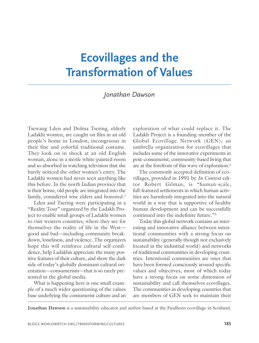## **Ecovillages and the Transformation of Values**

#### *Jonathan Dawson*

Tsewang Lden and Dolma Tsering, elderly Ladakhi women, are caught on film in an old people's home in London, incongruous in their fine and colorful traditional costume. They look on in shock at an old English woman, alone in a sterile white-painted room and so absorbed in watching television that she barely noticed the other women's entry. The Ladakhi women had never seen anything like this before. In the north Indian province that is their home, old people are integrated into the family, considered wise elders and honored.<sup>1</sup>

Lden and Tsering were participating in a "Reality Tour" organized by the Ladakh Project to enable small groups of Ladakhi women to visit western countries, where they see for themselves the reality of life in the West good and bad—including community breakdown, loneliness, and violence. The organizers hope this will reinforce cultural self-confidence, help Ladakhis appreciate the many positive features of their culture, and show the dark side of today's globally dominant cultural orientation—consumerism—that is so rarely presented in the global media.

What is happening here is one small example of a much wider questioning of the values base underlying the consumerist culture and an exploration of what could replace it. The Ladakh Project is a founding member of the Global Ecovillage Network (GEN), an umbrella organization for ecovillages that includes some of the innovative experiments in post-consumerist, community-based living that are at the forefront of this wave of exploration. 2

The commonly accepted definition of ecovillages, provided in 1991 by *In Context* editor Robert Gilman, is "human-scale, full-featured settlements in which human activities are harmlessly integrated into the natural world in a way that is supportive of healthy human development and can be successfully continued into the indefinite future."3

Today this global network contains an interesting and innovative alliance between intentional communities with a strong focus on sustainability (generally though not exclusively located in the industrial world) and networks of traditional communities in developing countries. Intentional communities are ones that have been formed consciously around specific values and objectives, most of which today have a strong focus on some dimension of sustainability and call themselves ecovillages. The communities in developing countries that are members of GEN seek to maintain their

**Jonathan Dawson** is a sustainability educator and author based at the Findhorn ecovillage in Scotland.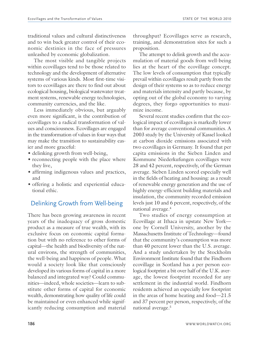traditional values and cultural distinctiveness and to win back greater control of their economic destinies in the face of pressures unleashed by economic globalization.

The most visible and tangible projects within ecovillages tend to be those related to technology and the development of alternative systems of various kinds. Most first-time visitors to ecovillages are there to find out about ecological housing, biological wastewater treatment systems, renewable energy technologies, community currencies, and the like.

Less immediately obvious, but arguably even more significant, is the contribution of ecovillages to a radical transformation of values and consciousness. Ecovillages are engaged in the transformation of values in four ways that may make the transition to sustainability easier and more graceful:

- delinking growth from well-being,
- reconnecting people with the place where they live,
- affirming indigenous values and practices, and
- offering a holistic and experiential educational ethic.

### Delinking Growth from Well-being

There has been growing awareness in recent years of the inadequacy of gross domestic product as a measure of true wealth, with its exclusive focus on economic capital formation but with no reference to other forms of capital—the health and biodiversity of the natural environs, the strength of communities, the well-being and happiness of people. What would a society look like that consciously developed its various forms of capital in a more balanced and integrated way? Could communities—indeed, whole societies—learn to substitute other forms of capital for economic wealth, demonstrating how quality of life could be maintained or even enhanced while significantly reducing consumption and material throughput? Ecovillages serve as research, training, and demonstration sites for such a proposition.

The attempt to delink growth and the accumulation of material goods from well-being lies at the heart of the ecovillage concept. The low levels of consumption that typically prevail within ecovillages result partly from the design of their systems so as to reduce energy and materials intensity and partly because, by opting out of the global economy to varying degrees, they forgo opportunities to maximize income.

Several recent studies confirm that the ecological impact of ecovillages is markedly lower than for average conventional communities. A 2003 study by the University of Kassel looked at carbon dioxide emissions associated with two ecovillages in Germany. It found that per capita emissions in the Sieben Linden and Kommune Niederkufungen ecovillages were 28 and 42 percent, respectively, of the German average. Sieben Linden scored especially well in the fields of heating and housing: as a result of renewable energy generation and the use of highly energy-efficient building materials and insulation, the community recorded emission levels just 10 and 6 percent, respectively, of the national average. 4

Two studies of energy consumption at Ecovillage at Ithaca in upstate New York one by Cornell University, another by the Massachusetts Institute of Technology—found that the community's consumption was more than 40 percent lower than the U.S. average. And a study undertaken by the Stockholm Environment Institute found that the Findhorn ecovillage in Scotland has a per person ecological footprint a bit over half of the U.K. average, the lowest footprint recorded for any settlement in the industrial world. Findhorn residents achieved an especially low footprint in the areas of home heating and food—21.5 and 37 percent per person, respectively, of the national average. 5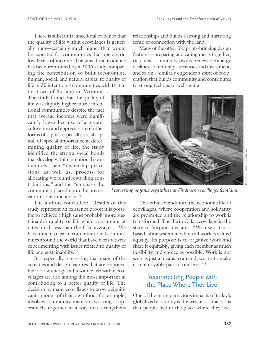There is substantial anecdotal evidence that the quality of life within ecovillages is generally high—certainly much higher than would be expected for communities that operate on low levels of income. The anecdotal evidence has been reinforced by a 2006 study comparing the contribution of built (economic), human, social, and natural capital to quality of life in 30 intentional communities with that in

the town of Burlington, Vermont. The study found that the quality of life was slightly higher in the intentional communities despite the fact that average incomes were significantly lower because of a greater cultivation and appreciation of other forms of capital, especially social capital. Of special importance in determining quality of life, the study identified the strong social bonds that develop within intentional communities, their "ownership provisions as well as…process for allocating work and rewarding contributions," and the "emphasis the community placed upon the preservation of natural areas."6

The authors concluded: "Results of this study represent an existence proof: it is possible to achieve a high (and probably more sustainable) quality of life while consuming at rates much less than the U.S. average.… We have much to learn from intentional communities around the world that have been actively experimenting with issues related to quality of life and sustainability."7

It is especially interesting that many of the activities and design features that are responsible for low energy and resource use within ecovillages are also among the most important in contributing to a better quality of life. The decision by many ecovillages to grow a significant amount of their own food, for example, involves community members working cooperatively together in a way that strengthens

relationships and builds a strong and nurturing sense of connection with the land.

Many of the other footprint-shrinking design features—preparing and eating meals together, car clubs, community-owned renewable energy facilities, community currencies and investment, and so on—similarly engender a spirit of cooperation that builds community and contributes to strong feelings of well-being.



*Harvesting organic vegetables at Findhorn ecovillage, Scotland.*

This ethic extends into the economic life of ecovillages, where cooperation and solidarity are promoted and the relationship to work is transformed. The Twin Oaks ecovillage in the state of Virginia declares: "We use a trustbased labor system in which all work is valued equally. Its purpose is to organize work and share it equitably, giving each member as much flexibility and choice as possible. Work is not seen as just a means to an end; we try to make it an enjoyable part of our lives."8

#### Reconnecting People with the Place Where They Live

One of the more pernicious impacts of today's globalized economy is the weaker connections that people feel to the place where they live.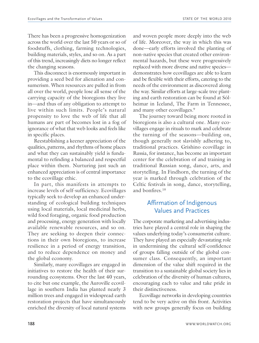There has been a progressive homogenization across the world over the last 50 years or so of foodstuffs, clothing, farming technologies, building materials, styles, and so on. As a part of this trend, increasingly diets no longer reflect the changing seasons.

This disconnect is enormously important in providing a seed bed for alienation and consumerism. When resources are pulled in from all over the world, people lose all sense of the carrying capacity of the bioregions they live in—and thus of any obligation to attempt to live within such limits. People's natural propensity to love the web of life that all humans are part of becomes lost in a fog of ignorance of what that web looks and feels like in specific places.

Reestablishing a keener appreciation of the qualities, patterns, and rhythms of home places and what they can sustainably yield is fundamental to refinding a balanced and respectful place within them. Nurturing just such an enhanced appreciation is of central importance to the ecovillage ethic.

In part, this manifests in attempts to increase levels of self-sufficiency. Ecovillages typically seek to develop an enhanced understanding of ecological building techniques using local materials, local medicinal herbs, wild food foraging, organic food production and processing, energy generation with locally available renewable resources, and so on. They are seeking to deepen their connections in their own bioregions, to increase resilience in a period of energy transition, and to reduce dependence on money and the global economy.

Similarly, many ecovillages are engaged in initiatives to restore the health of their surrounding ecosystems. Over the last 40 years, to cite but one example, the Auroville ecovillage in southern India has planted nearly 3 million trees and engaged in widespread earth restoration projects that have simultaneously enriched the diversity of local natural systems and woven people more deeply into the web of life. Moreover, the way in which this was done—early efforts involved the planting of non-native species that created other environmental hazards, but these were progressively replaced with more diverse and native species demonstrates how ecovillages are able to learn and be flexible with their efforts, catering to the needs of the environment as discovered along the way. Similar efforts at large-scale tree planting and earth restoration can be found at Sólheimar in Iceland, The Farm in Tennessee, and many other ecovillages. 9

The journey toward being more rooted in bioregions is also a cultural one. Many ecovillages engage in rituals to mark and celebrate the turning of the seasons—building on, though generally not slavishly adhering to, traditional practices. Grishino ecovillage in Russia, for instance, has become an important center for the celebration of and training in traditional Russian song, dance, arts, and storytelling. In Findhorn, the turning of the year is marked through celebration of the Celtic festivals in song, dance, storytelling, and bonfires. 10

#### Affirmation of Indigenous Values and Practices

The corporate marketing and advertising industries have played a central role in shaping the values underlying today's consumerist culture. They have played an especially devastating role in undermining the cultural self-confidence of groups falling outside of the global consumer class. Consequently, an important dimension of the value shift required in the transition to a sustainable global society lies in celebration of the diversity of human cultures, encouraging each to value and take pride in their distinctiveness.

Ecovillage networks in developing countries tend to be very active on this front. Activities with new groups generally focus on building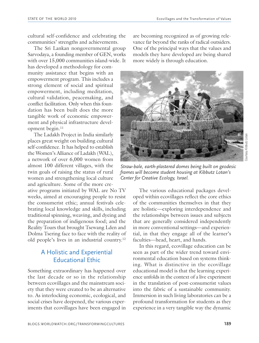cultural self-confidence and celebrating the communities' strengths and achievements.

The Sri Lankan nongovernmental group Sarvodaya, a founding member of GEN, works with over 15,000 communities island-wide. It

has developed a methodology for community assistance that begins with an empowerment program. This includes a strong element of social and spiritual empowerment, including meditation, cultural validation, peacemaking, and conflict facilitation. Only when this foundation has been built does the more tangible work of economic empowerment and physical infrastructure development begin. 11

The Ladakh Project in India similarly places great weight on building cultural self-confidence. It has helped to establish the Women's Alliance of Ladakh (WAL), a network of over 6,000 women from almost 100 different villages, with the twin goals of raising the status of rural women and strengthening local culture and agriculture. Some of the more cre-

ative programs initiated by WAL are No TV weeks, aimed at encouraging people to resist the consumerist ethic; annual festivals celebrating local knowledge and skills, including traditional spinning, weaving, and dyeing and the preparation of indigenous food; and the Reality Tours that brought Tsewang Lden and Dolma Tsering face to face with the reality of old people's lives in an industrial country. 12

#### A Holistic and Experiential Educational Ethic

Something extraordinary has happened over the last decade or so in the relationship between ecovillages and the mainstream society that they were created to be an alternative to. As interlocking economic, ecological, and social crises have deepened, the various experiments that ecovillages have been engaged in are becoming recognized as of growing relevance far beyond the ranks of radical outsiders. One of the principal ways that the values and models they have developed are being shared more widely is through education.



*Straw-bale, earth-plastered domes being built on geodesic frames will become student housing at Kibbutz Lotan's Center for Creative Ecology, Israel.*

The various educational packages developed within ecovillages reflect the core ethics of the communities themselves in that they are holistic—exploring interdependence and the relationships between issues and subjects that are generally considered independently in more conventional settings—and experiential, in that they engage all of the learner's faculties—head, heart, and hands.

In this regard, ecovillage education can be seen as part of the wider trend toward environmental education based on systems thinking. What is distinctive in the ecovillage educational model is that the learning experience unfolds in the context of a live experiment in the translation of post-consumerist values into the fabric of a sustainable community. Immersion in such living laboratories can be a profound transformation for students as they experience in a very tangible way the dynamic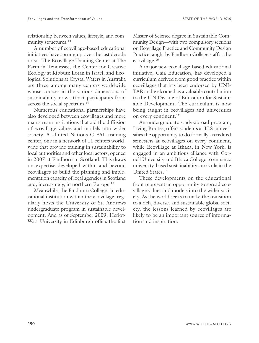relationship between values, lifestyle, and community structures. 13

A number of ecovillage-based educational initiatives have sprung up over the last decade or so. The Ecovillage Training Center at The Farm in Tennessee, the Center for Creative Ecology at Kibbutz Lotan in Israel, and Ecological Solutions at Crystal Waters in Australia are three among many centers worldwide whose courses in the various dimensions of sustainability now attract participants from across the social spectrum. 14

Numerous educational partnerships have also developed between ecovillages and more mainstream institutions that aid the diffusion of ecovillage values and models into wider society. A United Nations CIFAL training center, one in a network of 11 centers worldwide that provide training in sustainability to local authorities and other local actors, opened in 2007 at Findhorn in Scotland. This draws on expertise developed within and beyond ecovillages to build the planning and implementation capacity of local agencies in Scotland and, increasingly, in northern Europe. 15

Meanwhile, the Findhorn College, an educational institution within the ecovillage, regularly hosts the University of St. Andrews undergraduate program in sustainable development. And as of September 2009, Heriot-Watt University in Edinburgh offers the first Master of Science degree in Sustainable Community Design—with two compulsory sections on Ecovillage Practice and Community Design Practice taught by Findhorn College staff at the ecovillage. 16

A major new ecovillage-based educational initiative, Gaia Education, has developed a curriculum derived from good practice within ecovillages that has been endorsed by UNI-TAR and welcomed as a valuable contribution to the UN Decade of Education for Sustainable Development. The curriculum is now being taught in ecovillages and universities on every continent. 17

An undergraduate study-abroad program, Living Routes, offers students at U.S. universities the opportunity to do formally accredited semesters at ecovillages on every continent, while Ecovillage at Ithaca, in New York, is engaged in an ambitious alliance with Cornell University and Ithaca College to enhance university-based sustainability curricula in the United States. 18

These developments on the educational front represent an opportunity to spread ecovillage values and models into the wider society. As the world seeks to make the transition to a rich, diverse, and sustainable global society, the lessons learned by ecovillages are likely to be an important source of information and inspiration.